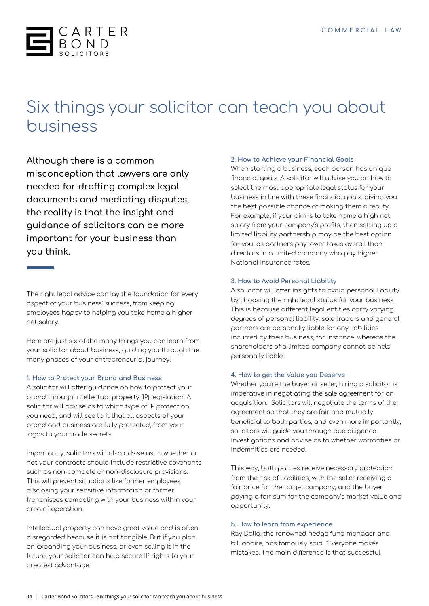

# Six things your solicitor can teach you about business

**Although there is a common misconception that lawyers are only needed for drafting complex legal documents and mediating disputes, the reality is that the insight and guidance of solicitors can be more important for your business than you think.**

The right legal advice can lay the foundation for every aspect of your business' success, from keeping employees happy to helping you take home a higher net salary.

Here are just six of the many things you can learn from your solicitor about business, guiding you through the many phases of your entrepreneurial journey.

### **1. How to Protect your Brand and Business**

A solicitor will offer guidance on how to protect your brand through intellectual property (IP) legislation. A solicitor will advise as to which type of IP protection you need, and will see to it that all aspects of your brand and business are fully protected, from your logos to your trade secrets.

Importantly, solicitors will also advise as to whether or not your contracts should include restrictive covenants such as non-compete or non-disclosure provisions. This will prevent situations like former employees disclosing your sensitive information or former franchisees competing with your business within your area of operation.

Intellectual property can have great value and is often disregarded because it is not tangible. But if you plan on expanding your business, or even selling it in the future, your solicitor can help secure IP rights to your greatest advantage.

#### **2. How to Achieve your Financial Goals**

When starting a business, each person has unique financial goals. A solicitor will advise you on how to select the most appropriate legal status for your business in line with these financial goals, giving you the best possible chance of making them a reality. For example, if your aim is to take home a high net salary from your company's profits, then setting up a limited liability partnership may be the best option for you, as partners pay lower taxes overall than directors in a limited company who pay higher National Insurance rates.

### **3. How to Avoid Personal Liability**

A solicitor will offer insights to avoid personal liability by choosing the right legal status for your business. This is because different legal entities carry varying degrees of personal liability: sole traders and general partners are personally liable for any liabilities incurred by their business, for instance, whereas the shareholders of a limited company cannot be held personally liable.

#### **4. How to get the Value you Deserve**

Whether you're the buyer or seller, hiring a solicitor is imperative in negotiating the sale agreement for an acquisition. Solicitors will negotiate the terms of the agreement so that they are fair and mutually beneficial to both parties, and even more importantly, solicitors will guide you through due diligence investigations and advise as to whether warranties or indemnities are needed.

This way, both parties receive necessary protection from the risk of liabilities, with the seller receiving a fair price for the target company, and the buyer paying a fair sum for the company's market value and opportunity.

#### **5. How to learn from experience**

Ray Dalio, the renowned hedge fund manager and billionaire, has famously said: "Everyone makes mistakes. The main difference is that successful